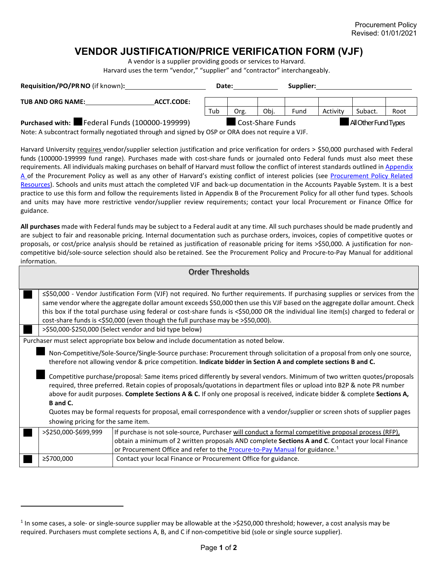## **VENDOR JUSTIFICATION/PRICE VERIFICATION FORM (VJF)**

A vendor is a supplier providing goods or services to Harvard. Harvard uses the term "vendor," "supplier" and "contractor" interchangeably.

| Requisition/PO/PR NO (if known):                                                                                                                    |                  | Date: |      |                      | Supplier: |         |      |  |
|-----------------------------------------------------------------------------------------------------------------------------------------------------|------------------|-------|------|----------------------|-----------|---------|------|--|
| <b>TUB AND ORG NAME:</b><br>ACCT.CODE:                                                                                                              |                  |       |      |                      |           |         |      |  |
|                                                                                                                                                     | Tub              | Org.  | Obi. | Fund                 | Activity  | Subact. | Root |  |
| Purchased with:<br>Federal Funds (100000-199999)<br>Note: A subcontract formally negotiated through and signed by OSB or OBA does not require a VIE | Cost-Share Funds |       |      | All Other Fund Types |           |         |      |  |

Note: A subcontract formally negotiated through and signed by OSP or ORA does not require a VJF.

Harvard University requires vendor/supplier selection justification and price verification for orders > \$50,000 purchased with Federal funds (100000-199999 fund range). Purchases made with cost-share funds or journaled onto Federal funds must also meet these requirements. All individuals making purchases on behalf of Harvard must follow the conflict of interest standards outlined in Appendix [A](https://policies.fad.harvard.edu/procurement) of the Procurement Policy as well as any other of Harvard's existing conflict of interest policies (see Procurement Policy Related [Resources\)](https://policies.fad.harvard.edu/procurement). Schools and units must attach the completed VJF and back-up documentation in the Accounts Payable System. It is a best practice to use this form and follow the requirements listed in Appendix B of the Procurement Policy for all other fund types. Schools and units may have more restrictive vendor/supplier review requirements; contact your local Procurement or Finance Office for guidance.

**All purchases** made with Federal funds may be subject to a Federal audit at any time. All such purchases should be made prudently and are subject to fair and reasonable pricing. Internal documentation such as purchase orders, invoices, copies of competitive quotes or proposals, or cost/price analysis should be retained as justification of reasonable pricing for items >\$50,000. A justification for noncompetitive bid/sole-source selection should also be retained. See the Procurement Policy and Procure-to-Pay Manual for additional information.

| <b>Order Thresholds</b>                                                                                                                                                                                                                                                                                                                                                             |                                                                                                                                                                                                                                                                                                                                                                                                      |                                                                                                                                                                                                                                                                                                            |  |  |  |  |  |
|-------------------------------------------------------------------------------------------------------------------------------------------------------------------------------------------------------------------------------------------------------------------------------------------------------------------------------------------------------------------------------------|------------------------------------------------------------------------------------------------------------------------------------------------------------------------------------------------------------------------------------------------------------------------------------------------------------------------------------------------------------------------------------------------------|------------------------------------------------------------------------------------------------------------------------------------------------------------------------------------------------------------------------------------------------------------------------------------------------------------|--|--|--|--|--|
|                                                                                                                                                                                                                                                                                                                                                                                     |                                                                                                                                                                                                                                                                                                                                                                                                      |                                                                                                                                                                                                                                                                                                            |  |  |  |  |  |
|                                                                                                                                                                                                                                                                                                                                                                                     | ≤\$50,000 - Vendor Justification Form (VJF) not required. No further requirements. If purchasing supplies or services from the<br>same vendor where the aggregate dollar amount exceeds \$50,000 then use this VJF based on the aggregate dollar amount. Check<br>this box if the total purchase using federal or cost-share funds is <\$50,000 OR the individual line item(s) charged to federal or |                                                                                                                                                                                                                                                                                                            |  |  |  |  |  |
|                                                                                                                                                                                                                                                                                                                                                                                     | cost-share funds is <\$50,000 (even though the full purchase may be >\$50,000).                                                                                                                                                                                                                                                                                                                      |                                                                                                                                                                                                                                                                                                            |  |  |  |  |  |
|                                                                                                                                                                                                                                                                                                                                                                                     | >\$50,000-\$250,000 (Select vendor and bid type below)                                                                                                                                                                                                                                                                                                                                               |                                                                                                                                                                                                                                                                                                            |  |  |  |  |  |
|                                                                                                                                                                                                                                                                                                                                                                                     | Purchaser must select appropriate box below and include documentation as noted below.                                                                                                                                                                                                                                                                                                                |                                                                                                                                                                                                                                                                                                            |  |  |  |  |  |
| Non-Competitive/Sole-Source/Single-Source purchase: Procurement through solicitation of a proposal from only one source,<br>therefore not allowing vendor & price competition. Indicate bidder in Section A and complete sections B and C.                                                                                                                                          |                                                                                                                                                                                                                                                                                                                                                                                                      |                                                                                                                                                                                                                                                                                                            |  |  |  |  |  |
| Competitive purchase/proposal: Same items priced differently by several vendors. Minimum of two written quotes/proposals<br>required, three preferred. Retain copies of proposals/quotations in department files or upload into B2P & note PR number<br>above for audit purposes. Complete Sections A & C. If only one proposal is received, indicate bidder & complete Sections A, |                                                                                                                                                                                                                                                                                                                                                                                                      |                                                                                                                                                                                                                                                                                                            |  |  |  |  |  |
| B and C.                                                                                                                                                                                                                                                                                                                                                                            |                                                                                                                                                                                                                                                                                                                                                                                                      |                                                                                                                                                                                                                                                                                                            |  |  |  |  |  |
| Quotes may be formal requests for proposal, email correspondence with a vendor/supplier or screen shots of supplier pages                                                                                                                                                                                                                                                           |                                                                                                                                                                                                                                                                                                                                                                                                      |                                                                                                                                                                                                                                                                                                            |  |  |  |  |  |
| showing pricing for the same item.                                                                                                                                                                                                                                                                                                                                                  |                                                                                                                                                                                                                                                                                                                                                                                                      |                                                                                                                                                                                                                                                                                                            |  |  |  |  |  |
|                                                                                                                                                                                                                                                                                                                                                                                     | >\$250,000-\$699,999                                                                                                                                                                                                                                                                                                                                                                                 | If purchase is not sole-source, Purchaser will conduct a formal competitive proposal process (RFP),<br>obtain a minimum of 2 written proposals AND complete Sections A and C. Contact your local Finance<br>or Procurement Office and refer to the <b>Procure-to-Pay Manual</b> for guidance. <sup>1</sup> |  |  |  |  |  |
|                                                                                                                                                                                                                                                                                                                                                                                     | ≥\$700,000                                                                                                                                                                                                                                                                                                                                                                                           | Contact your local Finance or Procurement Office for guidance.                                                                                                                                                                                                                                             |  |  |  |  |  |

<span id="page-0-0"></span> $1$  In some cases, a sole- or single-source supplier may be allowable at the >\$250,000 threshold; however, a cost analysis may be required. Purchasers must complete sections A, B, and C if non-competitive bid (sole or single source supplier).